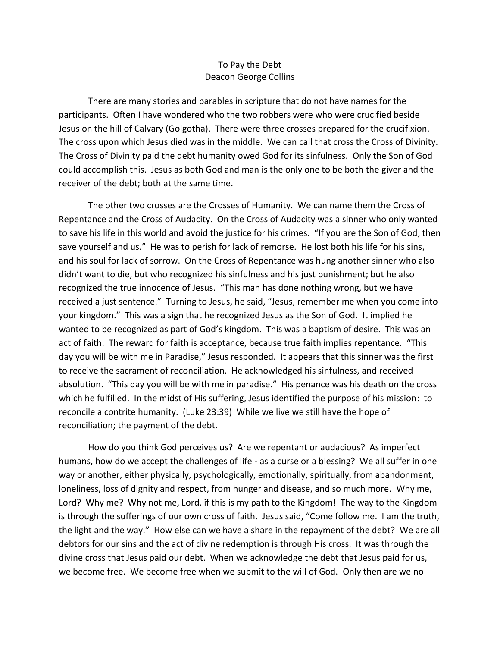## To Pay the Debt Deacon George Collins

There are many stories and parables in scripture that do not have names for the participants. Often I have wondered who the two robbers were who were crucified beside Jesus on the hill of Calvary (Golgotha). There were three crosses prepared for the crucifixion. The cross upon which Jesus died was in the middle. We can call that cross the Cross of Divinity. The Cross of Divinity paid the debt humanity owed God for its sinfulness. Only the Son of God could accomplish this. Jesus as both God and man is the only one to be both the giver and the receiver of the debt; both at the same time.

The other two crosses are the Crosses of Humanity. We can name them the Cross of Repentance and the Cross of Audacity. On the Cross of Audacity was a sinner who only wanted to save his life in this world and avoid the justice for his crimes. "If you are the Son of God, then save yourself and us." He was to perish for lack of remorse. He lost both his life for his sins, and his soul for lack of sorrow. On the Cross of Repentance was hung another sinner who also didn't want to die, but who recognized his sinfulness and his just punishment; but he also recognized the true innocence of Jesus. "This man has done nothing wrong, but we have received a just sentence." Turning to Jesus, he said, "Jesus, remember me when you come into your kingdom." This was a sign that he recognized Jesus as the Son of God. It implied he wanted to be recognized as part of God's kingdom. This was a baptism of desire. This was an act of faith. The reward for faith is acceptance, because true faith implies repentance. "This day you will be with me in Paradise," Jesus responded. It appears that this sinner was the first to receive the sacrament of reconciliation. He acknowledged his sinfulness, and received absolution. "This day you will be with me in paradise." His penance was his death on the cross which he fulfilled. In the midst of His suffering, Jesus identified the purpose of his mission: to reconcile a contrite humanity. (Luke 23:39) While we live we still have the hope of reconciliation; the payment of the debt.

How do you think God perceives us? Are we repentant or audacious? As imperfect humans, how do we accept the challenges of life - as a curse or a blessing? We all suffer in one way or another, either physically, psychologically, emotionally, spiritually, from abandonment, loneliness, loss of dignity and respect, from hunger and disease, and so much more. Why me, Lord? Why me? Why not me, Lord, if this is my path to the Kingdom! The way to the Kingdom is through the sufferings of our own cross of faith. Jesus said, "Come follow me. I am the truth, the light and the way." How else can we have a share in the repayment of the debt? We are all debtors for our sins and the act of divine redemption is through His cross. It was through the divine cross that Jesus paid our debt. When we acknowledge the debt that Jesus paid for us, we become free. We become free when we submit to the will of God. Only then are we no